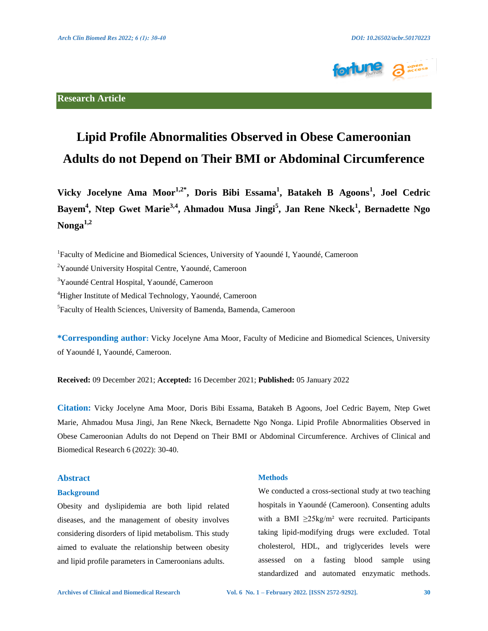

## **Research Article**

# **Lipid Profile Abnormalities Observed in Obese Cameroonian Adults do not Depend on Their BMI or Abdominal Circumference**

**Vicky Jocelyne Ama Moor1,2\*, Doris Bibi Essama1 , Batakeh B Agoons<sup>1</sup> , Joel Cedric Bayem4 , Ntep Gwet Marie3,4, Ahmadou Musa Jingi<sup>5</sup> , Jan Rene Nkeck<sup>1</sup> , Bernadette Ngo Nonga1,2**

<sup>1</sup>Faculty of Medicine and Biomedical Sciences, University of Yaoundé I, Yaoundé, Cameroon

<sup>2</sup>Yaoundé University Hospital Centre, Yaoundé, Cameroon

<sup>3</sup>Yaoundé Central Hospital, Yaoundé, Cameroon

4 Higher Institute of Medical Technology, Yaoundé, Cameroon

5 Faculty of Health Sciences, University of Bamenda, Bamenda, Cameroon

**\*Corresponding author:** Vicky Jocelyne Ama Moor, Faculty of Medicine and Biomedical Sciences, University of Yaoundé I, Yaoundé, Cameroon.

**Received:** 09 December 2021; **Accepted:** 16 December 2021; **Published:** 05 January 2022

**Citation:** Vicky Jocelyne Ama Moor, Doris Bibi Essama, Batakeh B Agoons, Joel Cedric Bayem, Ntep Gwet Marie, Ahmadou Musa Jingi, Jan Rene Nkeck, Bernadette Ngo Nonga. Lipid Profile Abnormalities Observed in Obese Cameroonian Adults do not Depend on Their BMI or Abdominal Circumference. Archives of Clinical and Biomedical Research 6 (2022): 30-40.

## **Abstract**

#### **Background**

Obesity and dyslipidemia are both lipid related diseases, and the management of obesity involves considering disorders of lipid metabolism. This study aimed to evaluate the relationship between obesity and lipid profile parameters in Cameroonians adults.

#### **Methods**

We conducted a cross-sectional study at two teaching hospitals in Yaoundé (Cameroon). Consenting adults with a BMI  $\geq 25 \text{kg/m}^2$  were recruited. Participants taking lipid-modifying drugs were excluded. Total cholesterol, HDL, and triglycerides levels were assessed on a fasting blood sample using standardized and automated enzymatic methods.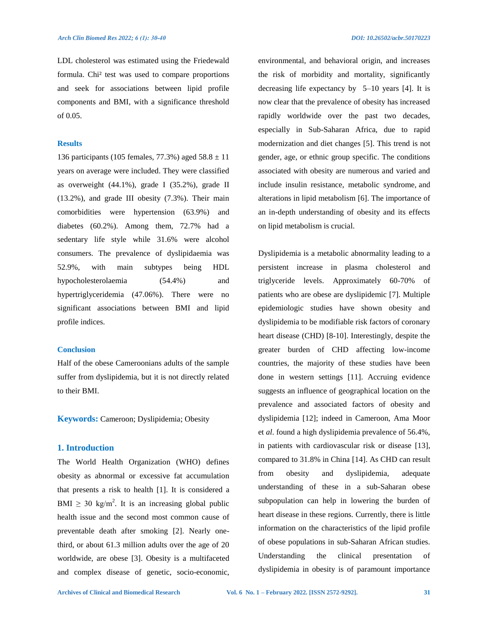LDL cholesterol was estimated using the Friedewald formula. Chi² test was used to compare proportions and seek for associations between lipid profile components and BMI, with a significance threshold of 0.05.

## **Results**

136 participants (105 females, 77.3%) aged  $58.8 \pm 11$ years on average were included. They were classified as overweight (44.1%), grade I (35.2%), grade II (13.2%), and grade III obesity (7.3%). Their main comorbidities were hypertension (63.9%) and diabetes (60.2%). Among them, 72.7% had a sedentary life style while 31.6% were alcohol consumers. The prevalence of dyslipidaemia was 52.9%, with main subtypes being HDL hypocholesterolaemia (54.4%) and hypertriglyceridemia (47.06%). There were no significant associations between BMI and lipid profile indices.

## **Conclusion**

Half of the obese Cameroonians adults of the sample suffer from dyslipidemia, but it is not directly related to their BMI.

**Keywords:** Cameroon; Dyslipidemia; Obesity

## **1. Introduction**

The World Health Organization (WHO) defines obesity as abnormal or excessive fat accumulation that presents a risk to health [1]. It is considered a BMI  $\geq$  30 kg/m<sup>2</sup>. It is an increasing global public health issue and the second most common cause of preventable death after smoking [2]. Nearly onethird, or about 61.3 million adults over the age of 20 worldwide, are obese [3]. Obesity is a multifaceted and complex disease of genetic, socio-economic,

environmental, and behavioral origin, and increases the risk of morbidity and mortality, significantly decreasing life expectancy by 5–10 years [4]. It is now clear that the prevalence of obesity has increased rapidly worldwide over the past two decades, especially in Sub-Saharan Africa, due to rapid modernization and diet changes [5]. This trend is not gender, age, or ethnic group specific. The conditions associated with obesity are numerous and varied and include insulin resistance, metabolic syndrome, and alterations in lipid metabolism [6]. The importance of an in-depth understanding of obesity and its effects on lipid metabolism is crucial.

Dyslipidemia is a metabolic abnormality leading to a persistent increase in plasma cholesterol and triglyceride levels. Approximately 60-70% of patients who are obese are dyslipidemic [7]. Multiple epidemiologic studies have shown obesity and dyslipidemia to be modifiable risk factors of coronary heart disease (CHD) [8-10]. Interestingly, despite the greater burden of CHD affecting low-income countries, the majority of these studies have been done in western settings [11]. Accruing evidence suggests an influence of geographical location on the prevalence and associated factors of obesity and dyslipidemia [12]; indeed in Cameroon, Ama Moor et *al*. found a high dyslipidemia prevalence of 56.4%, in patients with cardiovascular risk or disease [13], compared to 31.8% in China [14]. As CHD can result from obesity and dyslipidemia, adequate understanding of these in a sub-Saharan obese subpopulation can help in lowering the burden of heart disease in these regions. Currently, there is little information on the characteristics of the lipid profile of obese populations in sub-Saharan African studies. Understanding the clinical presentation of dyslipidemia in obesity is of paramount importance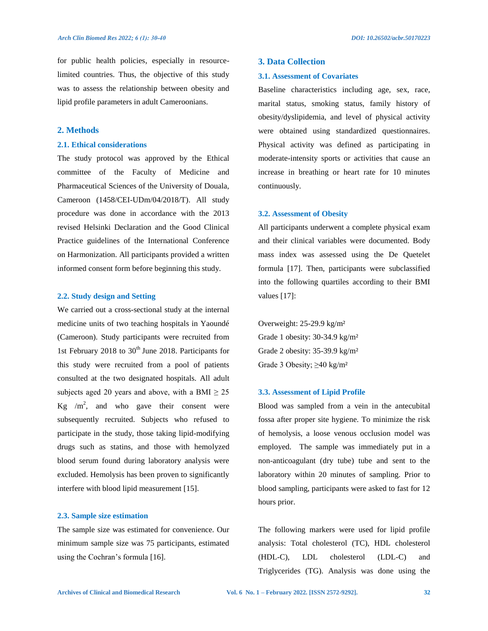for public health policies, especially in resourcelimited countries. Thus, the objective of this study was to assess the relationship between obesity and lipid profile parameters in adult Cameroonians.

## **2. Methods**

#### **2.1. Ethical considerations**

The study protocol was approved by the Ethical committee of the Faculty of Medicine and Pharmaceutical Sciences of the University of Douala, Cameroon (1458/CEI-UDm/04/2018/T). All study procedure was done in accordance with the 2013 revised Helsinki Declaration and the Good Clinical Practice guidelines of the International Conference on Harmonization. All participants provided a written informed consent form before beginning this study.

#### **2.2. Study design and Setting**

We carried out a cross-sectional study at the internal medicine units of two teaching hospitals in Yaoundé (Cameroon). Study participants were recruited from 1st February 2018 to  $30<sup>th</sup>$  June 2018. Participants for this study were recruited from a pool of patients consulted at the two designated hospitals. All adult subjects aged 20 years and above, with a BMI  $\geq 25$ Kg  $/m^2$ , and who gave their consent were subsequently recruited. Subjects who refused to participate in the study, those taking lipid-modifying drugs such as statins, and those with hemolyzed blood serum found during laboratory analysis were excluded. Hemolysis has been proven to significantly interfere with blood lipid measurement [15].

#### **2.3. Sample size estimation**

The sample size was estimated for convenience. Our minimum sample size was 75 participants, estimated using the Cochran's formula [16].

## **3. Data Collection**

#### **3.1. Assessment of Covariates**

Baseline characteristics including age, sex, race, marital status, smoking status, family history of obesity/dyslipidemia, and level of physical activity were obtained using standardized questionnaires. Physical activity was defined as participating in moderate-intensity sports or activities that cause an increase in breathing or heart rate for 10 minutes continuously.

#### **3.2. Assessment of Obesity**

All participants underwent a complete physical exam and their clinical variables were documented. Body mass index was assessed using the De Quetelet formula [17]. Then, participants were subclassified into the following quartiles according to their BMI values [17]:

Overweight: 25-29.9 kg/m² Grade 1 obesity: 30-34.9 kg/m² Grade 2 obesity: 35-39.9 kg/m² Grade 3 Obesity;  $\geq 40$  kg/m<sup>2</sup>

#### **3.3. Assessment of Lipid Profile**

Blood was sampled from a vein in the antecubital fossa after proper site hygiene. To minimize the risk of hemolysis, a loose venous occlusion model was employed. The sample was immediately put in a non-anticoagulant (dry tube) tube and sent to the laboratory within 20 minutes of sampling. Prior to blood sampling, participants were asked to fast for 12 hours prior.

The following markers were used for lipid profile analysis: Total cholesterol (TC), HDL cholesterol (HDL-C), LDL cholesterol (LDL-C) and Triglycerides (TG). Analysis was done using the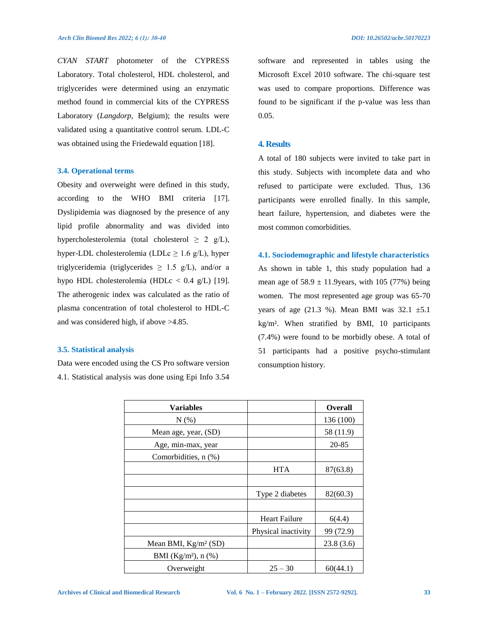*CYAN START* photometer of the CYPRESS Laboratory. Total cholesterol, HDL cholesterol, and triglycerides were determined using an enzymatic method found in commercial kits of the CYPRESS Laboratory (*Langdorp,* Belgium); the results were validated using a quantitative control serum. LDL-C was obtained using the Friedewald equation [18].

#### **3.4. Operational terms**

Obesity and overweight were defined in this study, according to the WHO BMI criteria [17]. Dyslipidemia was diagnosed by the presence of any lipid profile abnormality and was divided into hypercholesterolemia (total cholesterol  $\geq 2$  g/L), hyper-LDL cholesterolemia (LDLc  $\geq$  1.6 g/L), hyper triglyceridemia (triglycerides  $\geq$  1.5 g/L), and/or a hypo HDL cholesterolemia (HDLc <  $0.4$  g/L) [19]. The atherogenic index was calculated as the ratio of plasma concentration of total cholesterol to HDL-C and was considered high, if above >4.85.

#### **3.5. Statistical analysis**

Data were encoded using the CS Pro software version 4.1. Statistical analysis was done using Epi Info 3.54 software and represented in tables using the Microsoft Excel 2010 software. The chi-square test was used to compare proportions. Difference was found to be significant if the p-value was less than 0.05.

## **4. Results**

A total of 180 subjects were invited to take part in this study. Subjects with incomplete data and who refused to participate were excluded. Thus, 136 participants were enrolled finally. In this sample, heart failure, hypertension, and diabetes were the most common comorbidities.

**4.1. Sociodemographic and lifestyle characteristics**  As shown in table 1, this study population had a mean age of  $58.9 \pm 11.9$ years, with 105 (77%) being women. The most represented age group was 65-70 years of age (21.3 %). Mean BMI was  $32.1 \pm 5.1$ kg/m². When stratified by BMI, 10 participants (7.4%) were found to be morbidly obese. A total of 51 participants had a positive psycho-stimulant consumption history.

| <b>Variables</b>                  |                      | <b>Overall</b> |
|-----------------------------------|----------------------|----------------|
| $N(\%)$                           |                      | 136 (100)      |
| Mean age, year, (SD)              |                      | 58 (11.9)      |
| Age, min-max, year                |                      | 20-85          |
| Comorbidities, n (%)              |                      |                |
|                                   | <b>HTA</b>           | 87(63.8)       |
|                                   |                      |                |
|                                   | Type 2 diabetes      | 82(60.3)       |
|                                   |                      |                |
|                                   | <b>Heart Failure</b> | 6(4.4)         |
|                                   | Physical inactivity  | 99 (72.9)      |
| Mean BMI, $Kg/m^2$ (SD)           |                      | 23.8(3.6)      |
| BMI (Kg/m <sup>2</sup> ), $n$ (%) |                      |                |
| Overweight                        | $25 - 30$            | 60(44.1)       |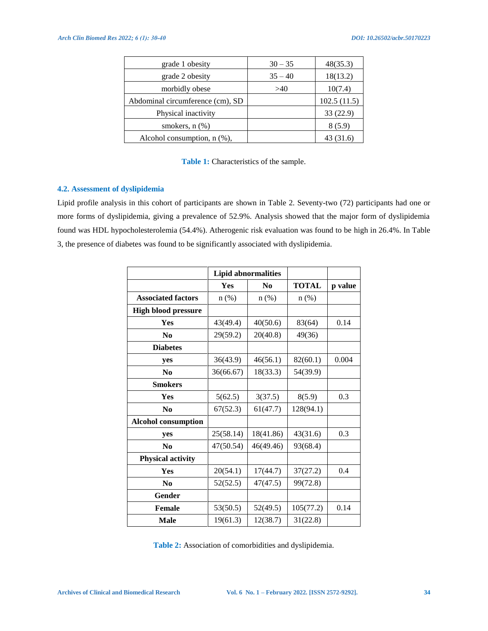| grade 1 obesity                   | $30 - 35$ | 48(35.3)    |
|-----------------------------------|-----------|-------------|
| grade 2 obesity                   | $35 - 40$ | 18(13.2)    |
| morbidly obese                    | >40       | 10(7.4)     |
| Abdominal circumference (cm), SD  |           | 102.5(11.5) |
| Physical inactivity               |           | 33 (22.9)   |
| smokers, $n$ $(\%)$               |           | 8(5.9)      |
| Alcohol consumption, $n$ $(\%)$ , |           | 31.6        |

## Table 1: Characteristics of the sample.

## **4.2. Assessment of dyslipidemia**

Lipid profile analysis in this cohort of participants are shown in Table 2. Seventy-two (72) participants had one or more forms of dyslipidemia, giving a prevalence of 52.9%. Analysis showed that the major form of dyslipidemia found was HDL hypocholesterolemia (54.4%). Atherogenic risk evaluation was found to be high in 26.4%. In Table 3, the presence of diabetes was found to be significantly associated with dyslipidemia.

|                            |                  | <b>Lipid abnormalities</b> |              |         |
|----------------------------|------------------|----------------------------|--------------|---------|
|                            | Yes<br>$\bf N_0$ |                            | <b>TOTAL</b> | p value |
| <b>Associated factors</b>  | $n$ (%)          | $n$ (%)                    | $n$ $(\%)$   |         |
| <b>High blood pressure</b> |                  |                            |              |         |
| <b>Yes</b>                 | 43(49.4)         | 40(50.6)                   | 83(64)       | 0.14    |
| N <sub>0</sub>             | 29(59.2)         | 20(40.8)                   | 49(36)       |         |
| <b>Diabetes</b>            |                  |                            |              |         |
| yes                        | 36(43.9)         | 46(56.1)                   | 82(60.1)     | 0.004   |
| $\bf N$ <sub>0</sub>       | 36(66.67)        | 18(33.3)                   | 54(39.9)     |         |
| <b>Smokers</b>             |                  |                            |              |         |
| Yes                        | 5(62.5)          | 3(37.5)                    | 8(5.9)       | 0.3     |
| $\bf N$ <sub>0</sub>       | 67(52.3)         | 61(47.7)                   | 128(94.1)    |         |
| <b>Alcohol consumption</b> |                  |                            |              |         |
| yes                        | 25(58.14)        | 18(41.86)                  | 43(31.6)     | 0.3     |
| N <sub>0</sub>             | 47(50.54)        | 46(49.46)                  | 93(68.4)     |         |
| <b>Physical activity</b>   |                  |                            |              |         |
| Yes                        | 20(54.1)         | 17(44.7)                   | 37(27.2)     | 0.4     |
| $\bf N$ <sub>0</sub>       | 52(52.5)         | 47(47.5)                   | 99(72.8)     |         |
| Gender                     |                  |                            |              |         |
| <b>Female</b>              | 53(50.5)         | 52(49.5)                   | 105(77.2)    | 0.14    |
| <b>Male</b>                | 19(61.3)         | 12(38.7)                   | 31(22.8)     |         |

**Table 2:** Association of comorbidities and dyslipidemia.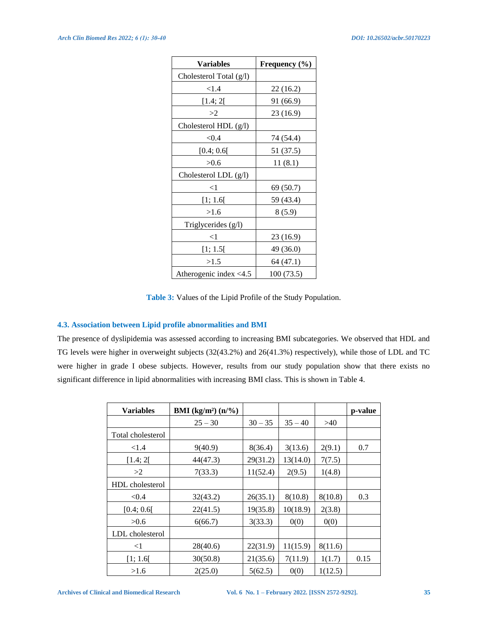| Variables                | Frequency $(\% )$ |
|--------------------------|-------------------|
| Cholesterol Total (g/l)  |                   |
| <1.4                     | 22(16.2)          |
| [1.4; 2[                 | 91 (66.9)         |
| >2                       | 23 (16.9)         |
| Cholesterol HDL (g/l)    |                   |
| < 0.4                    | 74 (54.4)         |
| [0.4; 0.6[               | 51 (37.5)         |
| >0.6                     | 11(8.1)           |
| Cholesterol LDL (g/l)    |                   |
| $<$ 1                    | 69 (50.7)         |
| [1; 1.6[                 | 59 (43.4)         |
| >1.6                     | 8(5.9)            |
| Triglycerides (g/l)      |                   |
| $<$ 1                    | 23 (16.9)         |
| [1; 1.5[                 | 49 (36.0)         |
| >1.5                     | 64 (47.1)         |
| Atherogenic index $<4.5$ | 100 (73.5)        |

**Table 3:** Values of the Lipid Profile of the Study Population.

# **4.3. Association between Lipid profile abnormalities and BMI**

The presence of dyslipidemia was assessed according to increasing BMI subcategories. We observed that HDL and TG levels were higher in overweight subjects (32(43.2%) and 26(41.3%) respectively), while those of LDL and TC were higher in grade I obese subjects. However, results from our study population show that there exists no significant difference in lipid abnormalities with increasing BMI class. This is shown in Table 4.

| <b>Variables</b>  | <b>BMI</b> (kg/m <sup>2</sup> ) $(n\frac{9}{6})$ |           |           |         | p-value |
|-------------------|--------------------------------------------------|-----------|-----------|---------|---------|
|                   | $25 - 30$                                        | $30 - 35$ | $35 - 40$ | >40     |         |
| Total cholesterol |                                                  |           |           |         |         |
| ${<}1.4$          | 9(40.9)                                          | 8(36.4)   | 3(13.6)   | 2(9.1)  | 0.7     |
| [1.4; 2[          | 44(47.3)                                         | 29(31.2)  | 13(14.0)  | 7(7.5)  |         |
| >2                | 7(33.3)                                          | 11(52.4)  | 2(9.5)    | 1(4.8)  |         |
| HDL cholesterol   |                                                  |           |           |         |         |
| < 0.4             | 32(43.2)                                         | 26(35.1)  | 8(10.8)   | 8(10.8) | 0.3     |
| [0.4; 0.6]        | 22(41.5)                                         | 19(35.8)  | 10(18.9)  | 2(3.8)  |         |
| >0.6              | 6(66.7)                                          | 3(33.3)   | 0(0)      | 0(0)    |         |
| LDL cholesterol   |                                                  |           |           |         |         |
| $<$ 1             | 28(40.6)                                         | 22(31.9)  | 11(15.9)  | 8(11.6) |         |
| [1; 1.6[          | 30(50.8)                                         | 21(35.6)  | 7(11.9)   | 1(1.7)  | 0.15    |
| >1.6              | 2(25.0)                                          | 5(62.5)   | 0(0)      | 1(12.5) |         |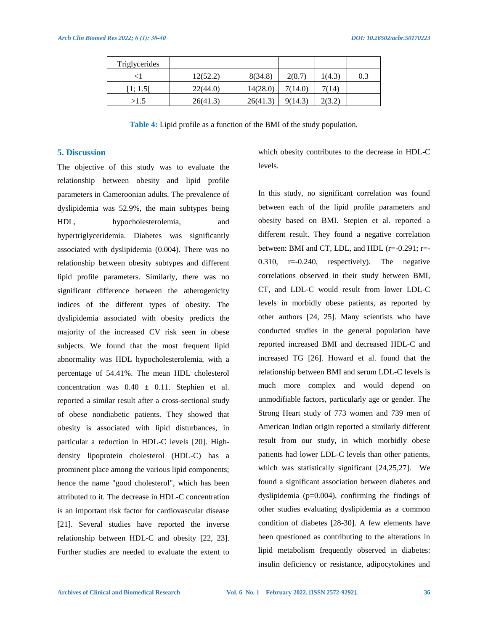| Triglycerides |          |          |         |        |     |
|---------------|----------|----------|---------|--------|-----|
|               | 12(52.2) | 8(34.8)  | 2(8.7)  | 1(4.3) | 0.3 |
| [1; 1.5[      | 22(44.0) | 14(28.0) | 7(14.0) | 7(14)  |     |
| >1.5          | 26(41.3) | 26(41.3) | 9(14.3) | 2(3.2) |     |

**Table 4:** Lipid profile as a function of the BMI of the study population.

## **5. Discussion**

The objective of this study was to evaluate the relationship between obesity and lipid profile parameters in Cameroonian adults. The prevalence of dyslipidemia was 52.9%, the main subtypes being HDL, hypocholesterolemia, and hypertriglyceridemia. Diabetes was significantly associated with dyslipidemia (0.004). There was no relationship between obesity subtypes and different lipid profile parameters. Similarly, there was no significant difference between the atherogenicity indices of the different types of obesity. The dyslipidemia associated with obesity predicts the majority of the increased CV risk seen in obese subjects. We found that the most frequent lipid abnormality was HDL hypocholesterolemia, with a percentage of 54.41%. The mean HDL cholesterol concentration was  $0.40 \pm 0.11$ . Stephien et al. reported a similar result after a cross-sectional study of obese nondiabetic patients. They showed that obesity is associated with lipid disturbances, in particular a reduction in HDL-C levels [20]. Highdensity lipoprotein cholesterol (HDL-C) has a prominent place among the various lipid components; hence the name "good cholesterol", which has been attributed to it. The decrease in HDL-C concentration is an important risk factor for cardiovascular disease [21]. Several studies have reported the inverse relationship between HDL-C and obesity [22, 23]. Further studies are needed to evaluate the extent to

which obesity contributes to the decrease in HDL-C levels.

In this study, no significant correlation was found between each of the lipid profile parameters and obesity based on BMI. Stepien et al. reported a different result. They found a negative correlation between: BMI and CT, LDL, and HDL (r=-0.291; r=- 0.310, r=-0.240, respectively). The negative correlations observed in their study between BMI, CT, and LDL-C would result from lower LDL-C levels in morbidly obese patients, as reported by other authors [24, 25]. Many scientists who have conducted studies in the general population have reported increased BMI and decreased HDL-C and increased TG [26]. Howard et al. found that the relationship between BMI and serum LDL-C levels is much more complex and would depend on unmodifiable factors, particularly age or gender. The Strong Heart study of 773 women and 739 men of American Indian origin reported a similarly different result from our study, in which morbidly obese patients had lower LDL-C levels than other patients, which was statistically significant [24,25,27]. We found a significant association between diabetes and dyslipidemia (p=0.004), confirming the findings of other studies evaluating dyslipidemia as a common condition of diabetes [28-30]. A few elements have been questioned as contributing to the alterations in lipid metabolism frequently observed in diabetes: insulin deficiency or resistance, adipocytokines and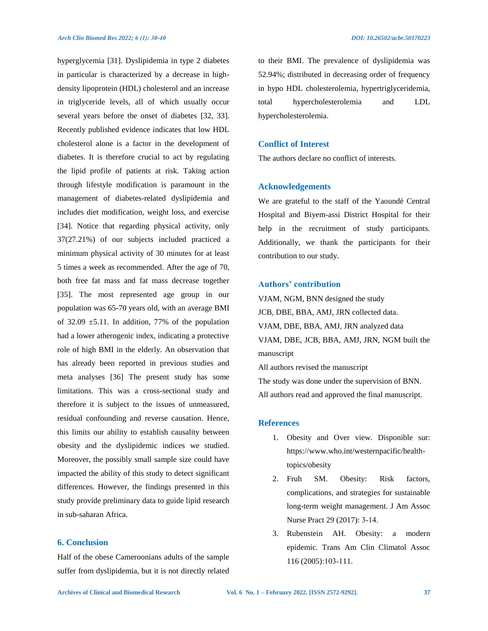hyperglycemia [31]. Dyslipidemia in type 2 diabetes in particular is characterized by a decrease in highdensity lipoprotein (HDL) cholesterol and an increase in triglyceride levels, all of which usually occur several years before the onset of diabetes [32, 33]. Recently published evidence indicates that low HDL cholesterol alone is a factor in the development of diabetes. It is therefore crucial to act by regulating the lipid profile of patients at risk. Taking action through lifestyle modification is paramount in the management of diabetes-related dyslipidemia and includes diet modification, weight loss, and exercise [34]. Notice that regarding physical activity, only 37(27.21%) of our subjects included practiced a minimum physical activity of 30 minutes for at least 5 times a week as recommended. After the age of 70, both free fat mass and fat mass decrease together [35]. The most represented age group in our population was 65-70 years old, with an average BMI of 32.09  $\pm$ 5.11. In addition, 77% of the population had a lower atherogenic index, indicating a protective role of high BMI in the elderly. An observation that has already been reported in previous studies and meta analyses [36] The present study has some limitations. This was a cross-sectional study and therefore it is subject to the issues of unmeasured, residual confounding and reverse causation. Hence, this limits our ability to establish causality between obesity and the dyslipidemic indices we studied. Moreover, the possibly small sample size could have impacted the ability of this study to detect significant differences. However, the findings presented in this study provide preliminary data to guide lipid research in sub-saharan Africa.

# **6. Conclusion**

Half of the obese Cameroonians adults of the sample suffer from dyslipidemia, but it is not directly related to their BMI. The prevalence of dyslipidemia was 52.94%; distributed in decreasing order of frequency in hypo HDL cholesterolemia, hypertriglyceridemia, total hypercholesterolemia and LDL hypercholesterolemia.

# **Conflict of Interest**

The authors declare no conflict of interests.

#### **Acknowledgements**

We are grateful to the staff of the Yaoundé Central Hospital and Biyem-assi District Hospital for their help in the recruitment of study participants. Additionally, we thank the participants for their contribution to our study.

## **Authors' contribution**

VJAM, NGM, BNN designed the study JCB, DBE, BBA, AMJ, JRN collected data. VJAM, DBE, BBA, AMJ, JRN analyzed data VJAM, DBE, JCB, BBA, AMJ, JRN, NGM built the manuscript All authors revised the manuscript The study was done under the supervision of BNN.

All authors read and approved the final manuscript.

## **References**

- 1. Obesity and Over view. Disponible sur: https://www.who.int/westernpacific/healthtopics/obesity
- 2. Fruh SM. Obesity: Risk factors, complications, and strategies for sustainable long-term weight management. J Am Assoc Nurse Pract 29 (2017): 3‑14.
- 3. Rubenstein AH. Obesity: a modern epidemic. Trans Am Clin Climatol Assoc 116 (2005):103‑111.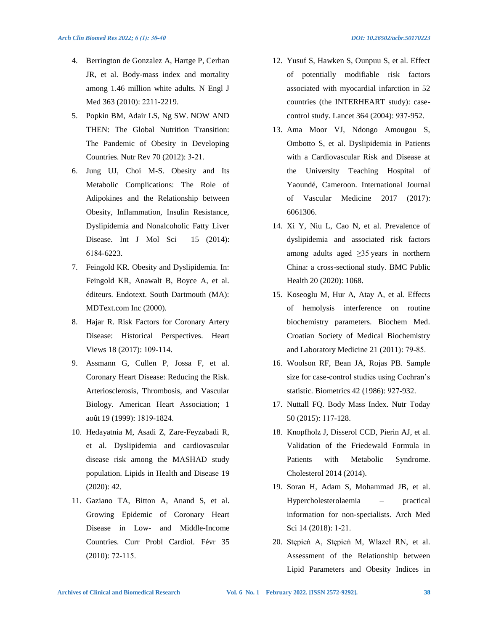- 4. Berrington de Gonzalez A, Hartge P, Cerhan JR, et al. Body-mass index and mortality among 1.46 million white adults. N Engl J Med 363 (2010): 2211‑2219.
- 5. Popkin BM, Adair LS, Ng SW. NOW AND THEN: The Global Nutrition Transition: The Pandemic of Obesity in Developing Countries. Nutr Rev 70 (2012): 3‑21.
- 6. Jung UJ, Choi M-S. Obesity and Its Metabolic Complications: The Role of Adipokines and the Relationship between Obesity, Inflammation, Insulin Resistance, Dyslipidemia and Nonalcoholic Fatty Liver Disease. Int J Mol Sci 15 (2014): 6184‑6223.
- 7. Feingold KR. Obesity and Dyslipidemia. In: Feingold KR, Anawalt B, Boyce A, et al. éditeurs. Endotext. South Dartmouth (MA): MDText.com Inc (2000).
- 8. Hajar R. Risk Factors for Coronary Artery Disease: Historical Perspectives. Heart Views 18 (2017): 109‑114.
- 9. Assmann G, Cullen P, Jossa F, et al. Coronary Heart Disease: Reducing the Risk. Arteriosclerosis, Thrombosis, and Vascular Biology. American Heart Association; 1 août 19 (1999): 1819‑1824.
- 10. Hedayatnia M, Asadi Z, Zare-Feyzabadi R, et al. Dyslipidemia and cardiovascular disease risk among the MASHAD study population. Lipids in Health and Disease 19 (2020): 42.
- 11. Gaziano TA, Bitton A, Anand S, et al. Growing Epidemic of Coronary Heart Disease in Low- and Middle-Income Countries. Curr Probl Cardiol. Févr 35 (2010): 72‑115.
- 12. Yusuf S, Hawken S, Ounpuu S, et al. Effect of potentially modifiable risk factors associated with myocardial infarction in 52 countries (the INTERHEART study): casecontrol study. Lancet 364 (2004): 937‑952.
- 13. Ama Moor VJ, Ndongo Amougou S, Ombotto S, et al. Dyslipidemia in Patients with a Cardiovascular Risk and Disease at the University Teaching Hospital of Yaoundé, Cameroon. International Journal of Vascular Medicine 2017 (2017): 6061306.
- 14. Xi Y, Niu L, Cao N, et al. Prevalence of dyslipidemia and associated risk factors among adults aged ≥35 years in northern China: a cross-sectional study. BMC Public Health 20 (2020): 1068.
- 15. Koseoglu M, Hur A, Atay A, et al. Effects of hemolysis interference on routine biochemistry parameters. Biochem Med. Croatian Society of Medical Biochemistry and Laboratory Medicine 21 (2011): 79‑85.
- 16. Woolson RF, Bean JA, Rojas PB. Sample size for case-control studies using Cochran's statistic. Biometrics 42 (1986): 927‑932.
- 17. Nuttall FQ. Body Mass Index. Nutr Today 50 (2015): 117‑128.
- 18. Knopfholz J, Disserol CCD, Pierin AJ, et al. Validation of the Friedewald Formula in Patients with Metabolic Syndrome. Cholesterol 2014 (2014).
- 19. Soran H, Adam S, Mohammad JB, et al. Hypercholesterolaemia – practical information for non-specialists. Arch Med Sci 14 (2018): 1-21.
- 20. Stępień A, Stępień M, Wlazeł RN, et al. Assessment of the Relationship between Lipid Parameters and Obesity Indices in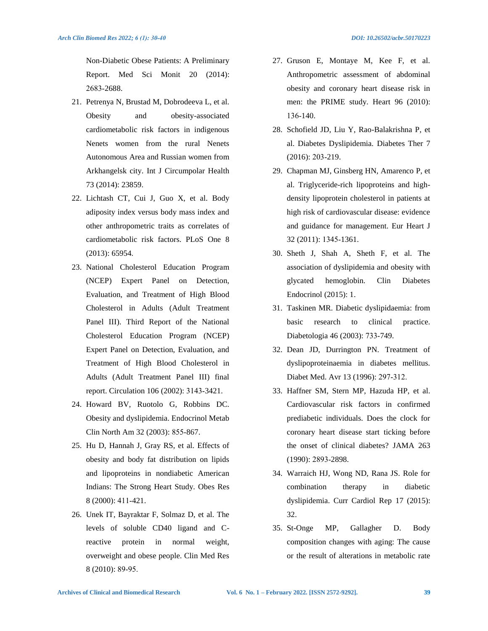Non-Diabetic Obese Patients: A Preliminary Report. Med Sci Monit 20 (2014): 2683‑2688.

- 21. Petrenya N, Brustad M, Dobrodeeva L, et al. Obesity and obesity-associated cardiometabolic risk factors in indigenous Nenets women from the rural Nenets Autonomous Area and Russian women from Arkhangelsk city. Int J Circumpolar Health 73 (2014): 23859.
- 22. Lichtash CT, Cui J, Guo X, et al. Body adiposity index versus body mass index and other anthropometric traits as correlates of cardiometabolic risk factors. PLoS One 8 (2013): 65954.
- 23. National Cholesterol Education Program (NCEP) Expert Panel on Detection, Evaluation, and Treatment of High Blood Cholesterol in Adults (Adult Treatment Panel III). Third Report of the National Cholesterol Education Program (NCEP) Expert Panel on Detection, Evaluation, and Treatment of High Blood Cholesterol in Adults (Adult Treatment Panel III) final report. Circulation 106 (2002): 3143‑3421.
- 24. Howard BV, Ruotolo G, Robbins DC. Obesity and dyslipidemia. Endocrinol Metab Clin North Am 32 (2003): 855‑867.
- 25. Hu D, Hannah J, Gray RS, et al. Effects of obesity and body fat distribution on lipids and lipoproteins in nondiabetic American Indians: The Strong Heart Study. Obes Res 8 (2000): 411‑421.
- 26. Unek IT, Bayraktar F, Solmaz D, et al. The levels of soluble CD40 ligand and Creactive protein in normal weight, overweight and obese people. Clin Med Res 8 (2010): 89‑95.
- 27. Gruson E, Montaye M, Kee F, et al. Anthropometric assessment of abdominal obesity and coronary heart disease risk in men: the PRIME study. Heart 96 (2010): 136‑140.
- 28. Schofield JD, Liu Y, Rao-Balakrishna P, et al. Diabetes Dyslipidemia. Diabetes Ther 7 (2016): 203‑219.
- 29. Chapman MJ, Ginsberg HN, Amarenco P, et al. Triglyceride-rich lipoproteins and highdensity lipoprotein cholesterol in patients at high risk of cardiovascular disease: evidence and guidance for management. Eur Heart J 32 (2011): 1345‑1361.
- 30. Sheth J, Shah A, Sheth F, et al. The association of dyslipidemia and obesity with glycated hemoglobin. Clin Diabetes Endocrinol (2015): 1.
- 31. Taskinen MR. Diabetic dyslipidaemia: from basic research to clinical practice. Diabetologia 46 (2003): 733‑749.
- 32. Dean JD, Durrington PN. Treatment of dyslipoproteinaemia in diabetes mellitus. Diabet Med. Avr 13 (1996): 297‑312.
- 33. Haffner SM, Stern MP, Hazuda HP, et al. Cardiovascular risk factors in confirmed prediabetic individuals. Does the clock for coronary heart disease start ticking before the onset of clinical diabetes? JAMA 263 (1990): 2893‑2898.
- 34. Warraich HJ, Wong ND, Rana JS. Role for combination therapy in diabetic dyslipidemia. Curr Cardiol Rep 17 (2015): 32.
- 35. St-Onge MP, Gallagher D. Body composition changes with aging: The cause or the result of alterations in metabolic rate